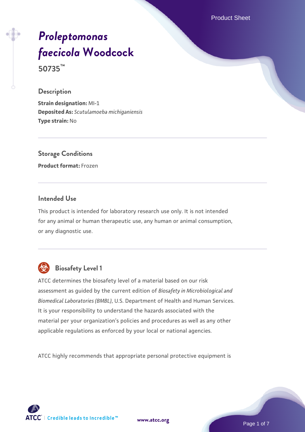Product Sheet

# *[Proleptomonas](https://www.atcc.org/products/50735) [faecicola](https://www.atcc.org/products/50735)* **[Woodcock](https://www.atcc.org/products/50735)**

**50735™**

#### **Description**

**Strain designation:** MI-1 **Deposited As:** *Scutulamoeba michiganiensis* **Type strain:** No

**Storage Conditions Product format:** Frozen

# **Intended Use**

This product is intended for laboratory research use only. It is not intended for any animal or human therapeutic use, any human or animal consumption, or any diagnostic use.



# **Biosafety Level 1**

ATCC determines the biosafety level of a material based on our risk assessment as guided by the current edition of *Biosafety in Microbiological and Biomedical Laboratories (BMBL)*, U.S. Department of Health and Human Services. It is your responsibility to understand the hazards associated with the material per your organization's policies and procedures as well as any other applicable regulations as enforced by your local or national agencies.

ATCC highly recommends that appropriate personal protective equipment is

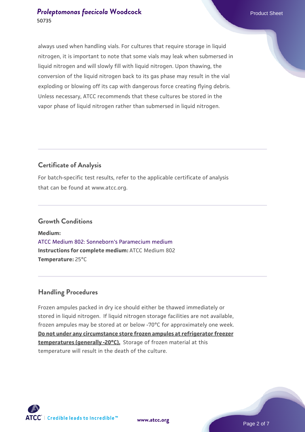always used when handling vials. For cultures that require storage in liquid nitrogen, it is important to note that some vials may leak when submersed in liquid nitrogen and will slowly fill with liquid nitrogen. Upon thawing, the conversion of the liquid nitrogen back to its gas phase may result in the vial exploding or blowing off its cap with dangerous force creating flying debris. Unless necessary, ATCC recommends that these cultures be stored in the vapor phase of liquid nitrogen rather than submersed in liquid nitrogen.

# **Certificate of Analysis**

For batch-specific test results, refer to the applicable certificate of analysis that can be found at www.atcc.org.

#### **Growth Conditions**

**Medium:**  [ATCC Medium 802: Sonneborn's Paramecium medium](https://www.atcc.org/-/media/product-assets/documents/microbial-media-formulations/8/0/2/atcc-medium-802.pdf?rev=73d25dbdd49b44529c8ac49753787d74) **Instructions for complete medium:** ATCC Medium 802 **Temperature:** 25°C

# **Handling Procedures**

Frozen ampules packed in dry ice should either be thawed immediately or stored in liquid nitrogen. If liquid nitrogen storage facilities are not available, frozen ampules may be stored at or below -70°C for approximately one week. **Do not under any circumstance store frozen ampules at refrigerator freezer temperatures (generally -20°C).** Storage of frozen material at this temperature will result in the death of the culture.



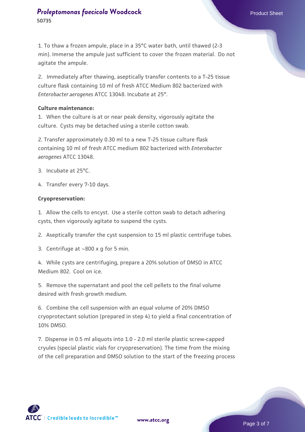1. To thaw a frozen ampule, place in a 35°C water bath, until thawed (2-3 min). Immerse the ampule just sufficient to cover the frozen material. Do not agitate the ampule.

2. Immediately after thawing, aseptically transfer contents to a T-25 tissue culture flask containing 10 ml of fresh ATCC Medium 802 bacterized with *Enterobacter aerogenes* ATCC 13048. Incubate at 25°.

#### **Culture maintenance:**

1. When the culture is at or near peak density, vigorously agitate the culture. Cysts may be detached using a sterile cotton swab.

2. Transfer approximately 0.30 ml to a new T-25 tissue culture flask containing 10 ml of fresh ATCC medium 802 bacterized with *Enterobacter aerogenes* ATCC 13048.

- 3. Incubate at 25°C.
- 4. Transfer every 7-10 days.

#### **Cryopreservation:**

1. Allow the cells to encyst. Use a sterile cotton swab to detach adhering cysts, then vigorously agitate to suspend the cysts.

2. Aseptically transfer the cyst suspension to 15 ml plastic centrifuge tubes.

3. Centrifuge at ~800 x g for 5 min.

4. While cysts are centrifuging, prepare a 20% solution of DMSO in ATCC Medium 802. Cool on ice.

5. Remove the supernatant and pool the cell pellets to the final volume desired with fresh growth medium.

6. Combine the cell suspension with an equal volume of 20% DMSO cryoprotectant solution (prepared in step 4) to yield a final concentration of 10% DMSO.

7. Dispense in 0.5 ml aliquots into 1.0 - 2.0 ml sterile plastic screw-capped cryules (special plastic vials for cryopreservation). The time from the mixing of the cell preparation and DMSO solution to the start of the freezing process



**[www.atcc.org](http://www.atcc.org)**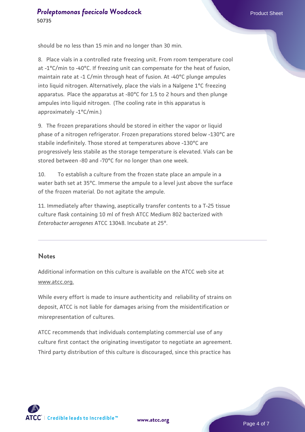should be no less than 15 min and no longer than 30 min.

8. Place vials in a controlled rate freezing unit. From room temperature cool at -1°C/min to -40°C. If freezing unit can compensate for the heat of fusion, maintain rate at -1 C/min through heat of fusion. At -40°C plunge ampules into liquid nitrogen. Alternatively, place the vials in a Nalgene 1°C freezing apparatus. Place the apparatus at -80°C for 1.5 to 2 hours and then plunge ampules into liquid nitrogen. (The cooling rate in this apparatus is approximately -1°C/min.)

9. The frozen preparations should be stored in either the vapor or liquid phase of a nitrogen refrigerator. Frozen preparations stored below -130°C are stabile indefinitely. Those stored at temperatures above -130°C are progressively less stabile as the storage temperature is elevated. Vials can be stored between -80 and -70°C for no longer than one week.

10. To establish a culture from the frozen state place an ampule in a water bath set at 35°C. Immerse the ampule to a level just above the surface of the frozen material. Do not agitate the ampule.

11. Immediately after thawing, aseptically transfer contents to a T-25 tissue culture flask containing 10 ml of fresh ATCC Medium 802 bacterized with *Enterobacter aerogenes* ATCC 13048. Incubate at 25°.

#### **Notes**

Additional information on this culture is available on the ATCC web site at www.atcc.org.

While every effort is made to insure authenticity and reliability of strains on deposit, ATCC is not liable for damages arising from the misidentification or misrepresentation of cultures.

ATCC recommends that individuals contemplating commercial use of any culture first contact the originating investigator to negotiate an agreement. Third party distribution of this culture is discouraged, since this practice has

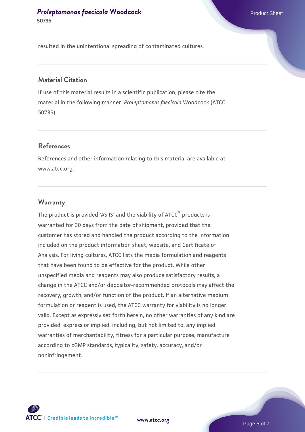resulted in the unintentional spreading of contaminated cultures.

# **Material Citation**

If use of this material results in a scientific publication, please cite the material in the following manner: *Proleptomonas faecicola* Woodcock (ATCC 50735)

#### **References**

References and other information relating to this material are available at www.atcc.org.

#### **Warranty**

The product is provided 'AS IS' and the viability of ATCC® products is warranted for 30 days from the date of shipment, provided that the customer has stored and handled the product according to the information included on the product information sheet, website, and Certificate of Analysis. For living cultures, ATCC lists the media formulation and reagents that have been found to be effective for the product. While other unspecified media and reagents may also produce satisfactory results, a change in the ATCC and/or depositor-recommended protocols may affect the recovery, growth, and/or function of the product. If an alternative medium formulation or reagent is used, the ATCC warranty for viability is no longer valid. Except as expressly set forth herein, no other warranties of any kind are provided, express or implied, including, but not limited to, any implied warranties of merchantability, fitness for a particular purpose, manufacture according to cGMP standards, typicality, safety, accuracy, and/or noninfringement.



**[www.atcc.org](http://www.atcc.org)**

Page 5 of 7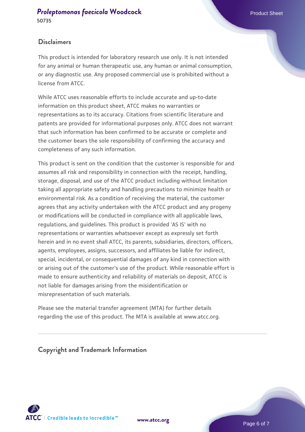## **Disclaimers**

This product is intended for laboratory research use only. It is not intended for any animal or human therapeutic use, any human or animal consumption, or any diagnostic use. Any proposed commercial use is prohibited without a license from ATCC.

While ATCC uses reasonable efforts to include accurate and up-to-date information on this product sheet, ATCC makes no warranties or representations as to its accuracy. Citations from scientific literature and patents are provided for informational purposes only. ATCC does not warrant that such information has been confirmed to be accurate or complete and the customer bears the sole responsibility of confirming the accuracy and completeness of any such information.

This product is sent on the condition that the customer is responsible for and assumes all risk and responsibility in connection with the receipt, handling, storage, disposal, and use of the ATCC product including without limitation taking all appropriate safety and handling precautions to minimize health or environmental risk. As a condition of receiving the material, the customer agrees that any activity undertaken with the ATCC product and any progeny or modifications will be conducted in compliance with all applicable laws, regulations, and guidelines. This product is provided 'AS IS' with no representations or warranties whatsoever except as expressly set forth herein and in no event shall ATCC, its parents, subsidiaries, directors, officers, agents, employees, assigns, successors, and affiliates be liable for indirect, special, incidental, or consequential damages of any kind in connection with or arising out of the customer's use of the product. While reasonable effort is made to ensure authenticity and reliability of materials on deposit, ATCC is not liable for damages arising from the misidentification or misrepresentation of such materials.

Please see the material transfer agreement (MTA) for further details regarding the use of this product. The MTA is available at www.atcc.org.

**Copyright and Trademark Information**





Page 6 of 7